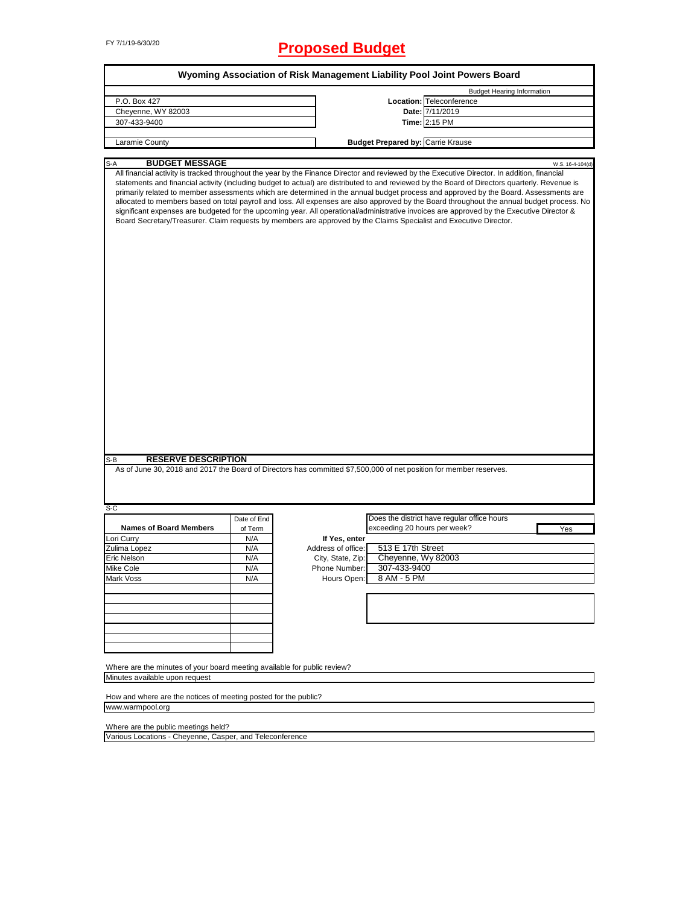# FY 7/1/19-6/30/20 **Proposed Budget**

|                                                                                                            |             |                    | Wyoming Association of Risk Management Liability Pool Joint Powers Board                                                                                                                                                                                                                                                                                                                                                                                                                                                                                                                                                                                                                                                                                                                                                                                |  |  |  |
|------------------------------------------------------------------------------------------------------------|-------------|--------------------|---------------------------------------------------------------------------------------------------------------------------------------------------------------------------------------------------------------------------------------------------------------------------------------------------------------------------------------------------------------------------------------------------------------------------------------------------------------------------------------------------------------------------------------------------------------------------------------------------------------------------------------------------------------------------------------------------------------------------------------------------------------------------------------------------------------------------------------------------------|--|--|--|
|                                                                                                            |             |                    | <b>Budget Hearing Information</b>                                                                                                                                                                                                                                                                                                                                                                                                                                                                                                                                                                                                                                                                                                                                                                                                                       |  |  |  |
| P.O. Box 427                                                                                               |             |                    | Location: Teleconference                                                                                                                                                                                                                                                                                                                                                                                                                                                                                                                                                                                                                                                                                                                                                                                                                                |  |  |  |
| Cheyenne, WY 82003                                                                                         |             |                    | Date: 7/11/2019                                                                                                                                                                                                                                                                                                                                                                                                                                                                                                                                                                                                                                                                                                                                                                                                                                         |  |  |  |
| 307-433-9400                                                                                               |             |                    | Time: 2:15 PM                                                                                                                                                                                                                                                                                                                                                                                                                                                                                                                                                                                                                                                                                                                                                                                                                                           |  |  |  |
|                                                                                                            |             |                    |                                                                                                                                                                                                                                                                                                                                                                                                                                                                                                                                                                                                                                                                                                                                                                                                                                                         |  |  |  |
| Laramie County                                                                                             |             |                    | <b>Budget Prepared by: Carrie Krause</b>                                                                                                                                                                                                                                                                                                                                                                                                                                                                                                                                                                                                                                                                                                                                                                                                                |  |  |  |
| <b>BUDGET MESSAGE</b><br>S-A                                                                               |             |                    | W.S. 16-4-104(d)                                                                                                                                                                                                                                                                                                                                                                                                                                                                                                                                                                                                                                                                                                                                                                                                                                        |  |  |  |
|                                                                                                            |             |                    | All financial activity is tracked throughout the year by the Finance Director and reviewed by the Executive Director. In addition, financial<br>statements and financial activity (including budget to actual) are distributed to and reviewed by the Board of Directors quarterly. Revenue is<br>primarily related to member assessments which are determined in the annual budget process and approved by the Board. Assessments are<br>allocated to members based on total payroll and loss. All expenses are also approved by the Board throughout the annual budget process. No<br>significant expenses are budgeted for the upcoming year. All operational/administrative invoices are approved by the Executive Director &<br>Board Secretary/Treasurer. Claim requests by members are approved by the Claims Specialist and Executive Director. |  |  |  |
| <b>RESERVE DESCRIPTION</b><br>S-B                                                                          |             |                    | As of June 30, 2018 and 2017 the Board of Directors has committed \$7,500,000 of net position for member reserves.                                                                                                                                                                                                                                                                                                                                                                                                                                                                                                                                                                                                                                                                                                                                      |  |  |  |
|                                                                                                            |             |                    |                                                                                                                                                                                                                                                                                                                                                                                                                                                                                                                                                                                                                                                                                                                                                                                                                                                         |  |  |  |
| $S-C$                                                                                                      | Date of End |                    | Does the district have regular office hours                                                                                                                                                                                                                                                                                                                                                                                                                                                                                                                                                                                                                                                                                                                                                                                                             |  |  |  |
| <b>Names of Board Members</b>                                                                              | of Term     |                    | exceeding 20 hours per week?<br>Yes                                                                                                                                                                                                                                                                                                                                                                                                                                                                                                                                                                                                                                                                                                                                                                                                                     |  |  |  |
| Lori Curry                                                                                                 | N/A         | If Yes, enter      |                                                                                                                                                                                                                                                                                                                                                                                                                                                                                                                                                                                                                                                                                                                                                                                                                                                         |  |  |  |
| Zulima Lopez                                                                                               | N/A         | Address of office: | 513 E 17th Street                                                                                                                                                                                                                                                                                                                                                                                                                                                                                                                                                                                                                                                                                                                                                                                                                                       |  |  |  |
| Eric Nelson                                                                                                | N/A         | City, State, Zip:  | Cheyenne, Wy 82003                                                                                                                                                                                                                                                                                                                                                                                                                                                                                                                                                                                                                                                                                                                                                                                                                                      |  |  |  |
| Mike Cole                                                                                                  | N/A         | Phone Number:      | 307-433-9400                                                                                                                                                                                                                                                                                                                                                                                                                                                                                                                                                                                                                                                                                                                                                                                                                                            |  |  |  |
| Mark Voss                                                                                                  | N/A         | Hours Open:        | 8 AM - 5 PM                                                                                                                                                                                                                                                                                                                                                                                                                                                                                                                                                                                                                                                                                                                                                                                                                                             |  |  |  |
|                                                                                                            |             |                    |                                                                                                                                                                                                                                                                                                                                                                                                                                                                                                                                                                                                                                                                                                                                                                                                                                                         |  |  |  |
|                                                                                                            |             |                    |                                                                                                                                                                                                                                                                                                                                                                                                                                                                                                                                                                                                                                                                                                                                                                                                                                                         |  |  |  |
|                                                                                                            |             |                    |                                                                                                                                                                                                                                                                                                                                                                                                                                                                                                                                                                                                                                                                                                                                                                                                                                                         |  |  |  |
| Where are the minutes of your board meeting available for public review?<br>Minutes available upon request |             |                    |                                                                                                                                                                                                                                                                                                                                                                                                                                                                                                                                                                                                                                                                                                                                                                                                                                                         |  |  |  |
| How and where are the notices of meeting posted for the public?<br>www.warmpool.org                        |             |                    |                                                                                                                                                                                                                                                                                                                                                                                                                                                                                                                                                                                                                                                                                                                                                                                                                                                         |  |  |  |
| Where are the public meetings held?                                                                        |             |                    |                                                                                                                                                                                                                                                                                                                                                                                                                                                                                                                                                                                                                                                                                                                                                                                                                                                         |  |  |  |

Various Locations - Cheyenne, Casper, and Teleconference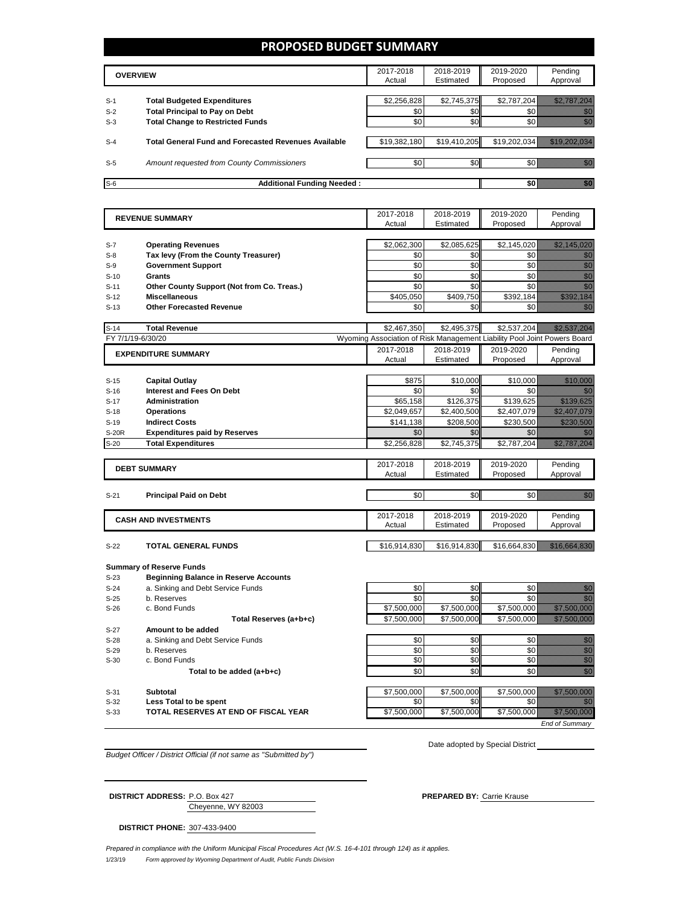### **PROPOSED BUDGET SUMMARY**

|       | <b>OVERVIEW</b>                                             |              | 2018-2019<br>Estimated | 2019-2020<br>Proposed | Pending<br>Approval |
|-------|-------------------------------------------------------------|--------------|------------------------|-----------------------|---------------------|
|       |                                                             |              |                        |                       |                     |
| $S-1$ | <b>Total Budgeted Expenditures</b>                          | \$2,256,828  | \$2,745,375            | \$2,787,204           |                     |
| $S-2$ | <b>Total Principal to Pay on Debt</b>                       | \$0          | \$0                    |                       |                     |
| $S-3$ | <b>Total Change to Restricted Funds</b>                     | \$0          | \$0 <sub>1</sub>       |                       |                     |
|       |                                                             |              |                        |                       |                     |
| $S-4$ | <b>Total General Fund and Forecasted Revenues Available</b> | \$19,382,180 | \$19,410,205           | \$19,202,034          |                     |
|       |                                                             |              |                        |                       |                     |
| $S-5$ | Amount requested from County Commissioners                  | \$0          | \$0 <sub>1</sub>       |                       |                     |
|       |                                                             |              |                        |                       |                     |
| $S-6$ | <b>Additional Funding Needed:</b>                           |              |                        |                       |                     |

|                   | <b>REVENUE SUMMARY</b>                       | 2017-2018                                                                | 2018-2019    | 2019-2020    | Pending                                                                                                                                                                                                                          |
|-------------------|----------------------------------------------|--------------------------------------------------------------------------|--------------|--------------|----------------------------------------------------------------------------------------------------------------------------------------------------------------------------------------------------------------------------------|
|                   |                                              | Actual                                                                   | Estimated    | Proposed     | Approval                                                                                                                                                                                                                         |
|                   |                                              |                                                                          |              |              |                                                                                                                                                                                                                                  |
| $S-7$             | <b>Operating Revenues</b>                    | \$2,062,300                                                              | \$2,085,625  | \$2,145,020  | <u> Hallingar (</u>                                                                                                                                                                                                              |
| $S-8$             | Tax levy (From the County Treasurer)         | \$0                                                                      | \$0          | \$0          | en de la familie de la familie de la familie de la familie de la familie de la familie de la familie de la fam<br>De la familie de la familie de la familie de la familie de la familie de la familie de la familie de la famili |
| $S-9$             | <b>Government Support</b>                    | \$0                                                                      | \$0          | \$0          | en de la familie de la familie de la familie de la familie de la familie de la familie de la familie de la fam<br>Concelho de la familie de la familie de la familie de la familie de la familie de la familie de la familie de  |
| $S-10$            | Grants                                       | \$0                                                                      | \$0          | \$0          | en de la familie de la familie de la familie de la familie de la familie de la familie de la familie de la fam<br>Constitution de la familie de la familie de la familie de la familie de la familie de la familie de la familie |
| $S-11$            | Other County Support (Not from Co. Treas.)   | \$0                                                                      | \$0          | \$0          | en de la familie de la familie de la familie de la familie de la familie de la familie de la familie de la fam<br>Constituit de la familie de la familie de la familie de la familie de la familie de la familie de la familie d |
| $S-12$            | <b>Miscellaneous</b>                         | \$405.050                                                                | \$409.750    | \$392.184    | <u> Karl Tarakhiri Karl Tarakhiri Karl Tarakhiri Karl Tarakhiri Karl Tarakhiri Karl Tarakhiri Karl Tarakhiri </u>                                                                                                                |
| $S-13$            | <b>Other Forecasted Revenue</b>              | \$0                                                                      | \$0          | \$0          | en de la f                                                                                                                                                                                                                       |
|                   |                                              |                                                                          |              |              |                                                                                                                                                                                                                                  |
| $S-14$            | <b>Total Revenue</b>                         | \$2,467,350                                                              | \$2,495,375  | \$2,537,204  | <u>tilik k</u> ullik kull                                                                                                                                                                                                        |
| FY 7/1/19-6/30/20 |                                              | Wyoming Association of Risk Management Liability Pool Joint Powers Board |              |              |                                                                                                                                                                                                                                  |
|                   | <b>EXPENDITURE SUMMARY</b>                   | 2017-2018                                                                | 2018-2019    | 2019-2020    | Pending                                                                                                                                                                                                                          |
|                   |                                              | Actual                                                                   | Estimated    | Proposed     | Approval                                                                                                                                                                                                                         |
|                   |                                              |                                                                          |              |              |                                                                                                                                                                                                                                  |
| $S-15$            | Capital Outlay                               | \$875                                                                    | \$10,000     | \$10.000     | <u> Timonista</u>                                                                                                                                                                                                                |
| $S-16$            | <b>Interest and Fees On Debt</b>             | \$0                                                                      | \$0          | \$0          | an dhe                                                                                                                                                                                                                           |
| $S-17$            | <b>Administration</b>                        | \$65,158                                                                 | \$126,375    | \$139,625    | <u> Martin Sara</u>                                                                                                                                                                                                              |
| $S-18$            | <b>Operations</b>                            | \$2,049,657                                                              | \$2,400,500  | \$2,407,079  | <u> Hallingar í Sveitar í Heim</u>                                                                                                                                                                                               |
| $S-19$            | <b>Indirect Costs</b>                        | \$141,138                                                                | \$208,500    | \$230,500    | <u> Hillishi Mash</u>                                                                                                                                                                                                            |
| <b>S-20R</b>      | <b>Expenditures paid by Reserves</b>         | \$0                                                                      | \$0          | \$0          | 77                                                                                                                                                                                                                               |
| $S-20$            | <b>Total Expenditures</b>                    | \$2,256,828                                                              | \$2,745,375  | \$2,787,204  | <u>Sillin Sallabash</u>                                                                                                                                                                                                          |
|                   |                                              |                                                                          |              |              |                                                                                                                                                                                                                                  |
|                   | <b>DEBT SUMMARY</b>                          | 2017-2018                                                                | 2018-2019    | 2019-2020    | Pending                                                                                                                                                                                                                          |
|                   |                                              | Actual                                                                   | Estimated    | Proposed     | Approval                                                                                                                                                                                                                         |
|                   |                                              |                                                                          |              |              |                                                                                                                                                                                                                                  |
| $S-21$            | <b>Principal Paid on Debt</b>                | \$0                                                                      | \$0          | \$0          | <u>filip</u>                                                                                                                                                                                                                     |
|                   |                                              |                                                                          |              |              |                                                                                                                                                                                                                                  |
|                   | <b>CASH AND INVESTMENTS</b>                  | 2017-2018                                                                | 2018-2019    | 2019-2020    | Pending                                                                                                                                                                                                                          |
|                   |                                              | Actual                                                                   | Estimated    | Proposed     | Approval                                                                                                                                                                                                                         |
|                   |                                              |                                                                          |              |              |                                                                                                                                                                                                                                  |
| $S-22$            | <b>TOTAL GENERAL FUNDS</b>                   | \$16,914,830                                                             | \$16,914,830 | \$16,664,830 | <u> Santa Caractería (h. 1</u>                                                                                                                                                                                                   |
|                   |                                              |                                                                          |              |              |                                                                                                                                                                                                                                  |
|                   | <b>Summary of Reserve Funds</b>              |                                                                          |              |              |                                                                                                                                                                                                                                  |
| $S-23$            | <b>Beginning Balance in Reserve Accounts</b> |                                                                          |              |              |                                                                                                                                                                                                                                  |
| $S-24$            | a. Sinking and Debt Service Funds            | \$0                                                                      | \$0          | \$0          | en 1979.<br>Mala                                                                                                                                                                                                                 |
| $S-25$            | b. Reserves                                  | \$0                                                                      | \$0          | \$0          | en de la familie de la familie de la familie de la familie de la familie de la familie de la familie de la fam<br>Construction de la familie de la familie de la familie de la familie de la familie de la familie de la familie |
| $S-26$            | c. Bond Funds                                | \$7,500,000                                                              | \$7.500.000  | \$7,500,000  | <u>ti Marajevi (</u>                                                                                                                                                                                                             |
|                   | Total Reserves (a+b+c)                       | \$7.500.000                                                              | \$7.500.000  | \$7,500,000  |                                                                                                                                                                                                                                  |
| $S-27$            | Amount to be added                           |                                                                          |              |              |                                                                                                                                                                                                                                  |
| $S-28$            | a. Sinking and Debt Service Funds            | \$0                                                                      | \$0          | \$0          |                                                                                                                                                                                                                                  |
| $S-29$            | b. Reserves                                  | \$0                                                                      | \$0          | \$0          |                                                                                                                                                                                                                                  |
| $S-30$            | c. Bond Funds                                | \$0                                                                      | \$0          | \$0          | e de la composición de la composición de la composición de la composición de la composición de la composición<br>Composición                                                                                                     |
|                   | Total to be added (a+b+c)                    | \$0                                                                      | \$0          | \$0          | en de la forma<br>Baldera                                                                                                                                                                                                        |
|                   |                                              |                                                                          |              |              |                                                                                                                                                                                                                                  |

S-32 **Less Total to be spent** \$0 \$0 \$0 \$0 **S-33 TOTAL RESERVES AT END OF FISCAL YEAR \$7,500,000** \$7,500,000 \$7,500,000 \$7,500,000 \$7,500,000 \$7,500,000 \$7,500,000 \$7,500,000 \$7,500,000 \$7,500,000 \$7,500,000 \$7,500,000 \$7,500,000 \$7,500,000 \$7,500,000 \$7,500,00

S-31 **Subtotal** \$7,500,000 \$7,500,000 \$7,500,000 \$7,500,000 *End of Summary*

*Budget Officer / District Official (if not same as "Submitted by")*

Date adopted by Special District

Cheyenne, WY 82003 **DISTRICT ADDRESS:** P.O. Box 427 **PREPARED BY:** Carrie Krause

**DISTRICT PHONE:** 307-433-9400

1/23/19 *Form approved by Wyoming Department of Audit, Public Funds Division Prepared in compliance with the Uniform Municipal Fiscal Procedures Act (W.S. 16-4-101 through 124) as it applies.*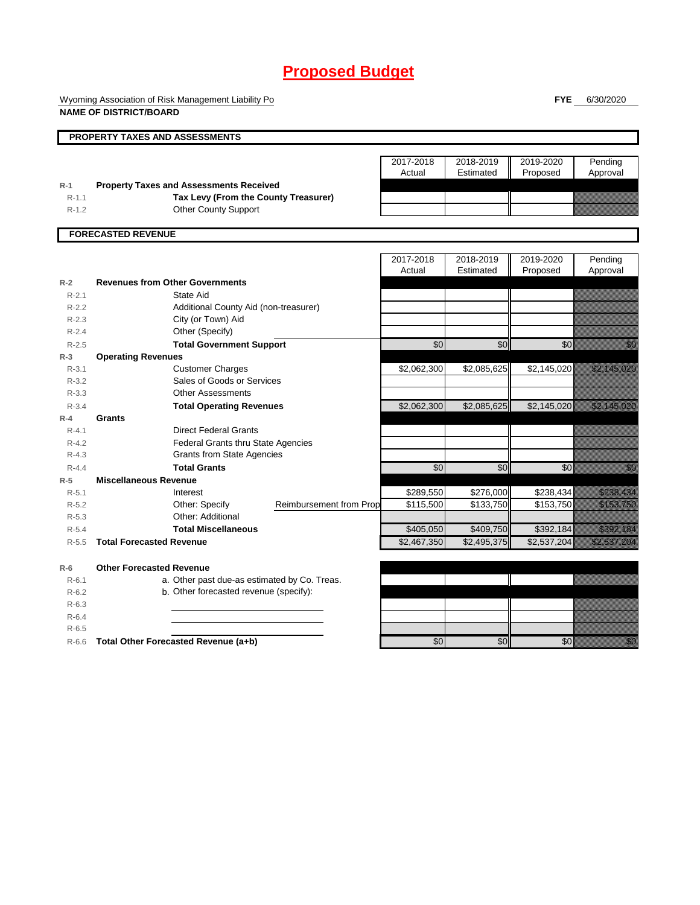Wyoming Association of Risk Management Liability Po **NAME OF DISTRICT/BOARD**

**FYE** 6/30/2020

|           | PROPERTY TAXES AND ASSESSMENTS                 |                         |             |             |             |                                                                                                                                                                                                                                 |
|-----------|------------------------------------------------|-------------------------|-------------|-------------|-------------|---------------------------------------------------------------------------------------------------------------------------------------------------------------------------------------------------------------------------------|
|           |                                                |                         |             |             |             |                                                                                                                                                                                                                                 |
|           |                                                |                         | 2017-2018   | 2018-2019   | 2019-2020   | Pending                                                                                                                                                                                                                         |
|           |                                                |                         | Actual      | Estimated   | Proposed    | Approval                                                                                                                                                                                                                        |
| $R-1$     | <b>Property Taxes and Assessments Received</b> |                         |             |             |             |                                                                                                                                                                                                                                 |
| $R-1.1$   | Tax Levy (From the County Treasurer)           |                         |             |             |             |                                                                                                                                                                                                                                 |
| $R-1.2$   | <b>Other County Support</b>                    |                         |             |             |             |                                                                                                                                                                                                                                 |
|           |                                                |                         |             |             |             |                                                                                                                                                                                                                                 |
|           | <b>FORECASTED REVENUE</b>                      |                         |             |             |             |                                                                                                                                                                                                                                 |
|           |                                                |                         |             |             |             |                                                                                                                                                                                                                                 |
|           |                                                |                         | 2017-2018   | 2018-2019   | 2019-2020   | Pending                                                                                                                                                                                                                         |
|           |                                                |                         | Actual      | Estimated   | Proposed    | Approval                                                                                                                                                                                                                        |
| $R-2$     | <b>Revenues from Other Governments</b>         |                         |             |             |             |                                                                                                                                                                                                                                 |
| $R-2.1$   | State Aid                                      |                         |             |             |             |                                                                                                                                                                                                                                 |
| $R-2.2$   | Additional County Aid (non-treasurer)          |                         |             |             |             |                                                                                                                                                                                                                                 |
| $R-2.3$   | City (or Town) Aid                             |                         |             |             |             |                                                                                                                                                                                                                                 |
| $R - 2.4$ | Other (Specify)                                |                         |             |             |             |                                                                                                                                                                                                                                 |
| $R - 2.5$ | <b>Total Government Support</b>                |                         | \$0         | \$0         | \$0         | e di Barcelonia<br>1990'î                                                                                                                                                                                                       |
| $R-3$     | <b>Operating Revenues</b>                      |                         |             |             |             |                                                                                                                                                                                                                                 |
| $R - 3.1$ | <b>Customer Charges</b>                        |                         | \$2,062,300 | \$2,085,625 | \$2,145,020 | <u>eliministika k</u>                                                                                                                                                                                                           |
| $R - 3.2$ | Sales of Goods or Services                     |                         |             |             |             |                                                                                                                                                                                                                                 |
| $R - 3.3$ | <b>Other Assessments</b>                       |                         |             |             |             |                                                                                                                                                                                                                                 |
| $R - 3.4$ | <b>Total Operating Revenues</b>                |                         | \$2,062,300 | \$2,085,625 | \$2,145,020 | <u> Killingar (</u>                                                                                                                                                                                                             |
| $R-4$     | Grants                                         |                         |             |             |             |                                                                                                                                                                                                                                 |
| $R - 4.1$ | <b>Direct Federal Grants</b>                   |                         |             |             |             |                                                                                                                                                                                                                                 |
| $R - 4.2$ | <b>Federal Grants thru State Agencies</b>      |                         |             |             |             |                                                                                                                                                                                                                                 |
| $R - 4.3$ | <b>Grants from State Agencies</b>              |                         |             |             |             |                                                                                                                                                                                                                                 |
| $R - 4.4$ | <b>Total Grants</b>                            |                         | \$0         | \$0         | \$0         | en de la filosofia<br>Altres de la filòlogía                                                                                                                                                                                    |
| $R-5$     | <b>Miscellaneous Revenue</b>                   |                         |             |             |             |                                                                                                                                                                                                                                 |
| $R - 5.1$ | Interest                                       |                         | \$289,550   | \$276,000   | \$238,434   | <u>tillistillä</u>                                                                                                                                                                                                              |
| $R - 5.2$ | Other: Specify                                 | Reimbursement from Prop | \$115,500   | \$133,750   | \$153,750   | <u> Karl Mariti (</u>                                                                                                                                                                                                           |
| $R - 5.3$ | Other: Additional                              |                         |             |             |             |                                                                                                                                                                                                                                 |
| $R-5.4$   | <b>Total Miscellaneous</b>                     |                         | \$405,050   | \$409,750   | \$392,184   | <u> Kabupatèn Tanah Bandaran Sura</u>                                                                                                                                                                                           |
| $R - 5.5$ | <b>Total Forecasted Revenue</b>                |                         | \$2,467,350 | \$2,495,375 | \$2,537,204 | <u>elittiin kunnaa kunnaa kunnaa kunnaa kunnaa kunnaa kunnaa kunnaa kunnaa kunnaa kunnaa kunnaa kunnaa kunnaa k</u>                                                                                                             |
|           |                                                |                         |             |             |             |                                                                                                                                                                                                                                 |
| $R-6$     | <b>Other Forecasted Revenue</b>                |                         |             |             |             |                                                                                                                                                                                                                                 |
| $R - 6.1$ | a. Other past due-as estimated by Co. Treas.   |                         |             |             |             |                                                                                                                                                                                                                                 |
| $R-6.2$   | b. Other forecasted revenue (specify):         |                         |             |             |             |                                                                                                                                                                                                                                 |
| $R-6.3$   |                                                |                         |             |             |             |                                                                                                                                                                                                                                 |
| $R-6.4$   |                                                |                         |             |             |             |                                                                                                                                                                                                                                 |
| $R-6.5$   |                                                |                         |             |             |             |                                                                                                                                                                                                                                 |
| $R-6.6$   | Total Other Forecasted Revenue (a+b)           |                         | \$0         | \$0         | \$0         | en de la facta de la facta de la facta de la facta de la facta de la facta de la facta de la facta de la facta<br>Constituir de la facta de la facta de la facta de la facta de la facta de la facta de la facta de la facta de |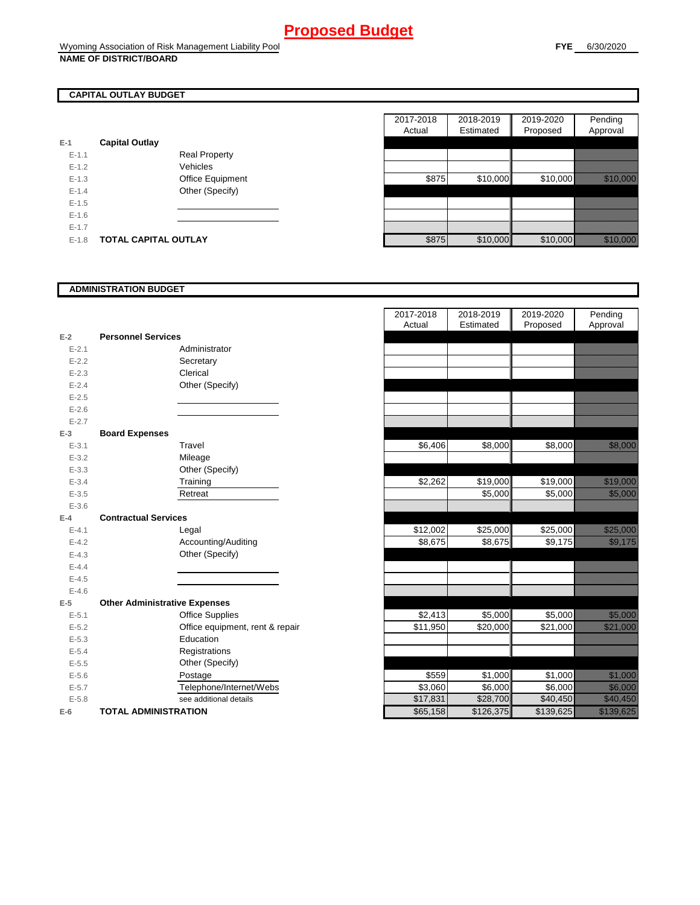## **CAPITAL OUTLAY BUDGET**

| E-1       | <b>Capital Outlay</b> |                         |
|-----------|-----------------------|-------------------------|
| $E - 1.1$ |                       | <b>Real Property</b>    |
| $F-12$    |                       | Vehicles                |
| $F-1.3$   |                       | <b>Office Equipment</b> |
| $F-14$    |                       | Other (Specify)         |
| $F-1.5$   |                       |                         |
| $F-16$    |                       |                         |
| $F-17$    |                       |                         |
| $F-1.8$   | TOTAL CAPITAL OUTLAY  |                         |

|           |                             |                      | 2017-2018 | 2018-2019 | 2019-2020 | Pending                                                                                                                      |
|-----------|-----------------------------|----------------------|-----------|-----------|-----------|------------------------------------------------------------------------------------------------------------------------------|
|           |                             |                      | Actual    | Estimated | Proposed  | Approval                                                                                                                     |
|           | <b>Capital Outlay</b>       |                      |           |           |           |                                                                                                                              |
| $E - 1.1$ |                             | <b>Real Property</b> |           |           |           |                                                                                                                              |
| $E-1.2$   |                             | Vehicles             |           |           |           |                                                                                                                              |
| $E-1.3$   |                             | Office Equipment     | \$875     | \$10,000  | \$10,000  | <u> Albanista Santa Carlos Santa Carlos Santa Carlos Santa Carlos Santa Carlos Santa Carlos Santa Carlos Santa C</u>         |
| $E-1.4$   |                             | Other (Specify)      |           |           |           |                                                                                                                              |
| $E-1.5$   |                             |                      |           |           |           |                                                                                                                              |
| $E-1.6$   |                             |                      |           |           |           |                                                                                                                              |
| $E-1.7$   |                             |                      |           |           |           |                                                                                                                              |
| $E-1.8$   | <b>TOTAL CAPITAL OUTLAY</b> |                      | \$875     | \$10,000  | \$10,000  | a a chun ann an chun an chun an chun an chun an chun an chun an chun an chun an chun an chun an chun an chun a<br>Tacairtean |

#### **ADMINISTRATION BUDGET**

| $E-2$     | <b>Personnel Services</b>            |                              |
|-----------|--------------------------------------|------------------------------|
| $E - 2.1$ |                                      | Administrator                |
| $E - 2.2$ |                                      | Secretary                    |
| $E - 2.3$ |                                      | Clerical                     |
| $E - 2.4$ |                                      | Other (Specify)              |
| $E - 2.5$ |                                      |                              |
| $E - 2.6$ |                                      |                              |
| $E - 2.7$ |                                      |                              |
| $E-3$     | <b>Board Expenses</b>                |                              |
| $E - 3.1$ |                                      | Travel                       |
| $E - 3.2$ |                                      | Mileage                      |
| $E - 3.3$ |                                      | Other (Specify)              |
| $E - 3.4$ |                                      | Training                     |
| $E - 3.5$ |                                      | Retreat                      |
| $E - 3.6$ |                                      |                              |
| $E-4$     | <b>Contractual Services</b>          |                              |
| $E - 4.1$ |                                      | Legal                        |
| $E-4.2$   |                                      | Accounting/Auditing          |
| $E - 4.3$ |                                      | Other (Specify)              |
| $E - 4.4$ |                                      |                              |
| $E - 4.5$ |                                      |                              |
| $E - 4.6$ |                                      |                              |
| $E-5$     | <b>Other Administrative Expenses</b> |                              |
| $E - 5.1$ |                                      | <b>Office Supplies</b>       |
| $E - 5.2$ |                                      | Office equipment, rent & rep |
| $E - 5.3$ |                                      | Education                    |
| $E - 5.4$ |                                      | Registrations                |
| $E - 5.5$ |                                      | Other (Specify)              |
| $E - 5.6$ |                                      | Postage                      |
| $E - 5.7$ |                                      | Telephone/Internet/Webs      |
| $E - 5.8$ |                                      | see additional details       |
| $E-6$     | <b>TOTAL ADMINISTRATION</b>          |                              |

|           |                                      | 2017-2018<br>Actual | 2018-2019<br>Estimated | 2019-2020<br>Proposed | Pending<br>Approval                                                                                                   |
|-----------|--------------------------------------|---------------------|------------------------|-----------------------|-----------------------------------------------------------------------------------------------------------------------|
| $E-2$     | <b>Personnel Services</b>            |                     |                        |                       |                                                                                                                       |
| $E - 2.1$ | Administrator                        |                     |                        |                       |                                                                                                                       |
| $E - 2.2$ | Secretary                            |                     |                        |                       |                                                                                                                       |
| $E - 2.3$ | Clerical                             |                     |                        |                       |                                                                                                                       |
| $E - 2.4$ | Other (Specify)                      |                     |                        |                       |                                                                                                                       |
| $E - 2.5$ |                                      |                     |                        |                       |                                                                                                                       |
| $E - 2.6$ |                                      |                     |                        |                       |                                                                                                                       |
| $E - 2.7$ |                                      |                     |                        |                       |                                                                                                                       |
| $E-3$     | <b>Board Expenses</b>                |                     |                        |                       |                                                                                                                       |
| $E - 3.1$ | Travel                               | \$6,406             | \$8,000                | \$8,000               | <u>tina argamentas para argamentas para argamentas para argamentas para argamentas para argamentas pro</u>            |
| $E - 3.2$ | Mileage                              |                     |                        |                       |                                                                                                                       |
| $E - 3.3$ | Other (Specify)                      |                     |                        |                       |                                                                                                                       |
| $E-3.4$   | Training                             | \$2,262             | \$19,000               | \$19,000              | <u> Maria Bara</u>                                                                                                    |
| $E - 3.5$ | Retreat                              |                     | \$5,000                | \$5,000               | <u> Hillian Sa</u>                                                                                                    |
| $E - 3.6$ |                                      |                     |                        |                       |                                                                                                                       |
| $E-4$     | <b>Contractual Services</b>          |                     |                        |                       |                                                                                                                       |
| $E-4.1$   | Legal                                | \$12,002            | \$25,000               | \$25,000              | <u>i karatikana ya kusingan ya kusingan ya kusingan ya kusingan ya kusingan ya kusingan ya kusingan ya kusingan y</u> |
| $E-4.2$   | Accounting/Auditing                  | \$8,675             | \$8,675                | \$9,175               | <u>in Mariji dhe</u>                                                                                                  |
| $E - 4.3$ | Other (Specify)                      |                     |                        |                       |                                                                                                                       |
| $E-4.4$   |                                      |                     |                        |                       |                                                                                                                       |
| $E-4.5$   |                                      |                     |                        |                       |                                                                                                                       |
| $E-4.6$   |                                      |                     |                        |                       |                                                                                                                       |
| $E-5$     | <b>Other Administrative Expenses</b> |                     |                        |                       |                                                                                                                       |
| $E - 5.1$ | <b>Office Supplies</b>               | \$2,413             | \$5,000                | \$5,000               | <u> Hillian Sa</u>                                                                                                    |
| $E - 5.2$ | Office equipment, rent & repair      | \$11,950            | \$20,000               | \$21,000              | <u>e de la construcción de la construcción de la construcción de la construcción de la construcción de la constru</u> |
| $E - 5.3$ | Education                            |                     |                        |                       |                                                                                                                       |
| $E - 5.4$ | Registrations                        |                     |                        |                       |                                                                                                                       |
| $E-5.5$   | Other (Specify)                      |                     |                        |                       |                                                                                                                       |
| $E-5.6$   | Postage                              | \$559               | \$1,000                | \$1,000               | <u> Karlin Sara</u>                                                                                                   |
| $E - 5.7$ | Telephone/Internet/Webs              | \$3,060             | \$6,000                | \$6,000               | <u>ti selle selle</u>                                                                                                 |
| $E - 5.8$ | see additional details               | \$17,831            | \$28,700               | \$40,450              | <u> Hillian Sta</u>                                                                                                   |
| $E-6$     | <b>TOTAL ADMINISTRATION</b>          | \$65,158            | \$126,375              | \$139,625             | <u> Karl Sara</u>                                                                                                     |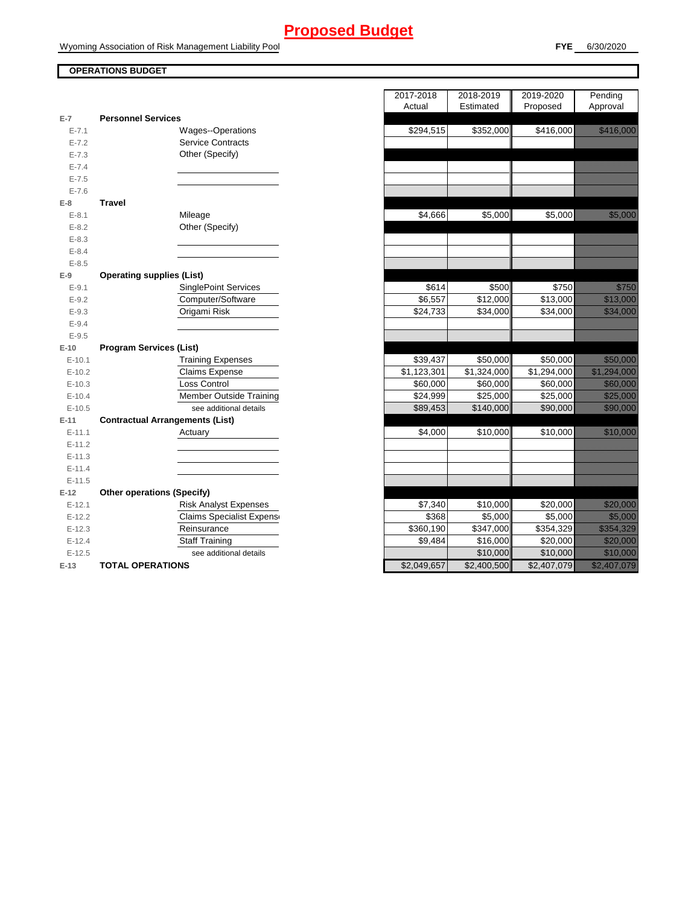### **OPERATIONS BUDGET**

|  | the contract of the contract of the contract of |
|--|-------------------------------------------------|

**FYE** 6/30/2020

| E-7        | <b>Personnel Services</b>              |
|------------|----------------------------------------|
| $E - 7.1$  | <b>Wages--Operations</b>               |
| $E - 7.2$  | <b>Service Contracts</b>               |
| $E - 7.3$  | Other (Specify)                        |
| $E - 7.4$  |                                        |
| $E - 7.5$  |                                        |
| $E - 7.6$  |                                        |
| E-8        | <b>Travel</b>                          |
| $E-8.1$    | Mileage                                |
| $E - 8.2$  | Other (Specify)                        |
| $E-8.3$    |                                        |
| $E - 8.4$  |                                        |
| $E - 8.5$  |                                        |
| E-9        | <b>Operating supplies (List)</b>       |
| $E-9.1$    | <b>SinglePoint Services</b>            |
| $E-9.2$    | Computer/Software                      |
| $E-9.3$    | Origami Risk                           |
| $E-9.4$    |                                        |
| $E-9.5$    |                                        |
| $E-10$     | <b>Program Services (List)</b>         |
| $E-10.1$   | <b>Training Expenses</b>               |
| $E-10.2$   | <b>Claims Expense</b>                  |
| $E-10.3$   | Loss Control                           |
| $E - 10.4$ | <b>Member Outside Training</b>         |
| $E - 10.5$ | see additional details                 |
| E-11       | <b>Contractual Arrangements (List)</b> |
| $E - 11.1$ | Actuary                                |
| $E-11.2$   |                                        |
| $E-11.3$   |                                        |
| $E - 11.4$ |                                        |
| $E - 11.5$ |                                        |
| $E-12$     | <b>Other operations (Specify)</b>      |
| $E-12.1$   | <b>Risk Analyst Expenses</b>           |
| $E-12.2$   | <b>Claims Specialist Expens</b>        |
| $E-12.3$   | Reinsurance                            |
| $E-12.4$   | Staff Training                         |
| $E-12.5$   | see additional details                 |
| E-13       | <b>TOTAL OPERATIONS</b>                |

|                |                                        | 2017-2018<br>Actual | 2018-2019<br>Estimated | 2019-2020<br>Proposed | Pending<br>Approval                                                                                                  |
|----------------|----------------------------------------|---------------------|------------------------|-----------------------|----------------------------------------------------------------------------------------------------------------------|
| $\overline{7}$ | <b>Personnel Services</b>              |                     |                        |                       |                                                                                                                      |
| $E - 7.1$      | Wages--Operations                      | \$294,515           | \$352,000              | \$416,000             | <u> Hardwein</u>                                                                                                     |
| $E - 7.2$      | <b>Service Contracts</b>               |                     |                        |                       |                                                                                                                      |
| $E - 7.3$      | Other (Specify)                        |                     |                        |                       |                                                                                                                      |
| $E - 7.4$      |                                        |                     |                        |                       |                                                                                                                      |
| $E - 7.5$      |                                        |                     |                        |                       |                                                                                                                      |
| $E - 7.6$      |                                        |                     |                        |                       |                                                                                                                      |
| 8              | <b>Travel</b>                          |                     |                        |                       |                                                                                                                      |
| $E-8.1$        | Mileage                                | \$4,666             | \$5,000                | \$5,000               | <u> Kalendari Serikat dan peng</u>                                                                                   |
| $E - 8.2$      | Other (Specify)                        |                     |                        |                       |                                                                                                                      |
| $E-8.3$        |                                        |                     |                        |                       |                                                                                                                      |
| $E - 8.4$      |                                        |                     |                        |                       |                                                                                                                      |
| $E - 8.5$      |                                        |                     |                        |                       |                                                                                                                      |
| 9              | <b>Operating supplies (List)</b>       |                     |                        |                       |                                                                                                                      |
| $E-9.1$        | <b>SinglePoint Services</b>            | \$614               | \$500                  | \$750                 | <u>till fram e</u>                                                                                                   |
| $E-9.2$        | Computer/Software                      | \$6,557             | $\overline{$}12,000$   | \$13,000              | <u> Hillingan</u>                                                                                                    |
| $E-9.3$        | Origami Risk                           | \$24,733            | \$34,000               | \$34,000              | <u>i serialistikan pada tahun 1999. Seba</u>                                                                         |
| $E - 9.4$      |                                        |                     |                        |                       |                                                                                                                      |
| $E-9.5$        |                                        |                     |                        |                       |                                                                                                                      |
| 10             | <b>Program Services (List)</b>         |                     |                        |                       |                                                                                                                      |
| $E-10.1$       | <b>Training Expenses</b>               | \$39,437            | \$50,000               | \$50,000              | <u> Karabasan Ing</u>                                                                                                |
| $E-10.2$       | <b>Claims Expense</b>                  | \$1,123,301         | \$1,324,000            | \$1,294,000           | <u> Elizabeth Constantinople (</u>                                                                                   |
| $E-10.3$       | Loss Control                           | \$60,000            | \$60,000               | \$60,000              | <u> Kabupatèn Ba</u>                                                                                                 |
| $E - 10.4$     | <b>Member Outside Training</b>         | \$24,999            | \$25,000               | \$25,000              | <u> Hillian San Sa</u>                                                                                               |
| $E-10.5$       | see additional details                 | \$89,453            | \$140,000              | \$90,000              | <u> Historian Sta</u>                                                                                                |
| 11             | <b>Contractual Arrangements (List)</b> |                     |                        |                       |                                                                                                                      |
| $E - 11.1$     | Actuary                                | \$4,000             | \$10,000               | \$10,000              |                                                                                                                      |
| $E-11.2$       |                                        |                     |                        |                       |                                                                                                                      |
| $E-11.3$       |                                        |                     |                        |                       |                                                                                                                      |
| $E - 11.4$     |                                        |                     |                        |                       |                                                                                                                      |
| $E-11.5$       |                                        |                     |                        |                       |                                                                                                                      |
| 12             | <b>Other operations (Specify)</b>      |                     |                        |                       |                                                                                                                      |
| $E-12.1$       | <b>Risk Analyst Expenses</b>           | \$7,340             | \$10,000               | \$20,000              | <u>e de la completación de la completación de la completación de la completación de la completación de la comple</u> |
| $E-12.2$       | <b>Claims Specialist Expens</b>        | \$368               | \$5,000                | \$5,000               | <u>ti ka</u>                                                                                                         |
| $E-12.3$       | Reinsurance                            | \$360,190           | \$347,000              | \$354,329             | <u>e komunistiske komunistiske formaler og den formaler og den formaler og den formaler og den formaler og den f</u> |
| $E-12.4$       | <b>Staff Training</b>                  | \$9,484             | \$16,000               | \$20,000              | <u>Mara</u>                                                                                                          |
| $E-12.5$       | see additional details                 |                     | \$10,000               | \$10,000              |                                                                                                                      |
| 13             | <b>TOTAL OPERATIONS</b>                | \$2,049,657         | \$2,400,500            | \$2,407,079           | <u>eli komunistist on k</u>                                                                                          |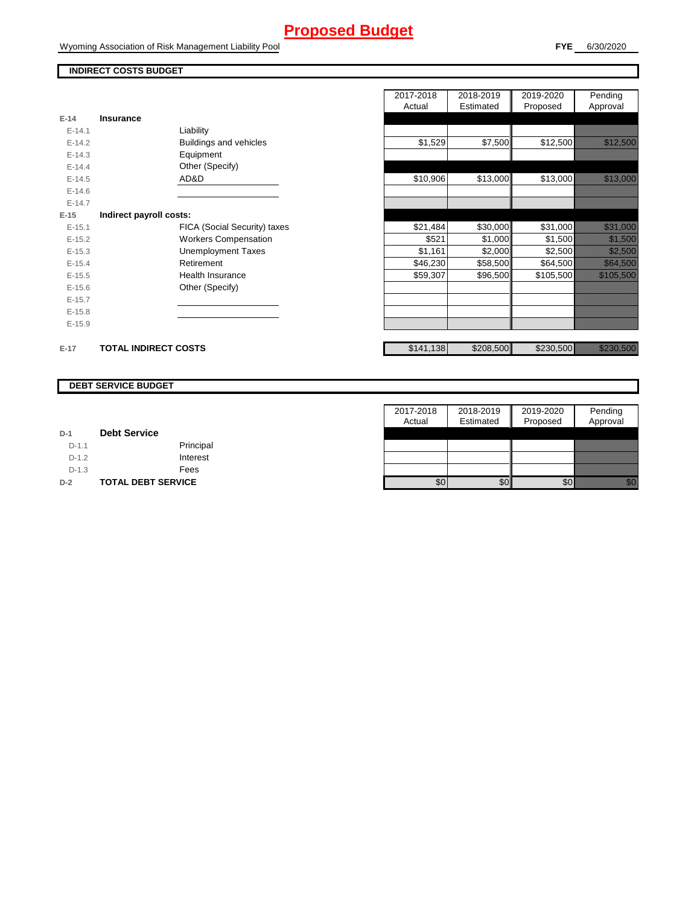Wyoming Association of Risk Management Liability Pool

## **INDIRECT COSTS BUDGET**

| E-14       | <b>Insurance</b>            |                               |
|------------|-----------------------------|-------------------------------|
| $F-141$    |                             | Liability                     |
| $F-142$    |                             | <b>Buildings and vehicles</b> |
| $E - 14.3$ |                             | Equipment                     |
| $F-144$    |                             | Other (Specify)               |
| $E-14.5$   |                             | AD&D                          |
| $E - 14.6$ |                             |                               |
| $F-147$    |                             |                               |
| $E-15$     | Indirect payroll costs:     |                               |
| $E-15.1$   |                             | FICA (Social Security) taxes  |
| $E-15.2$   |                             | <b>Workers Compensation</b>   |
| $E - 15.3$ |                             | <b>Unemployment Taxes</b>     |
| $E-15.4$   |                             | Retirement                    |
| $E-15.5$   |                             | Health Insurance              |
| $F-156$    |                             | Other (Specify)               |
| $E-15.7$   |                             |                               |
| $E-15.8$   |                             |                               |
| $E-15.9$   |                             |                               |
|            |                             |                               |
| $E-17$     | <b>TOTAL INDIRECT COSTS</b> |                               |

|          |                             |                              | 2017-2018<br>Actual | 2018-2019<br>Estimated | 2019-2020<br>Proposed | Pending<br>Approval                                                                                                  |
|----------|-----------------------------|------------------------------|---------------------|------------------------|-----------------------|----------------------------------------------------------------------------------------------------------------------|
| 14       | <b>Insurance</b>            |                              |                     |                        |                       |                                                                                                                      |
| $E-14.1$ | Liability                   |                              |                     |                        |                       |                                                                                                                      |
| $E-14.2$ | Buildings and vehicles      |                              | \$1,529             | \$7,500                | \$12,500              | <u>talik ka</u>                                                                                                      |
| $E-14.3$ | Equipment                   |                              |                     |                        |                       |                                                                                                                      |
| $E-14.4$ | Other (Specify)             |                              |                     |                        |                       |                                                                                                                      |
| $E-14.5$ | AD&D                        |                              | \$10,906            | \$13,000               | \$13,000              |                                                                                                                      |
| $E-14.6$ |                             |                              |                     |                        |                       |                                                                                                                      |
| $E-14.7$ |                             |                              |                     |                        |                       |                                                                                                                      |
| 15       | Indirect payroll costs:     |                              |                     |                        |                       |                                                                                                                      |
| $E-15.1$ |                             | FICA (Social Security) taxes | \$21,484            | \$30,000               | \$31,000              | <u> Karl Sara</u>                                                                                                    |
| $E-15.2$ | <b>Workers Compensation</b> |                              | \$521               | \$1,000                | \$1,500               | <u> Kalifornia (</u>                                                                                                 |
| $E-15.3$ | <b>Unemployment Taxes</b>   |                              | \$1,161             | \$2,000                | \$2,500               | <u> Hillingson</u>                                                                                                   |
| $E-15.4$ | Retirement                  |                              | \$46,230            | \$58,500               | \$64,500              | <u> Hillian Sta</u>                                                                                                  |
| $E-15.5$ | <b>Health Insurance</b>     |                              | \$59,307            | \$96,500               | \$105,500             | <u> Karati (Karati Inggris Sa</u>                                                                                    |
| $E-15.6$ | Other (Specify)             |                              |                     |                        |                       |                                                                                                                      |
| $E-15.7$ |                             |                              |                     |                        |                       |                                                                                                                      |
| $E-15.8$ |                             |                              |                     |                        |                       |                                                                                                                      |
| $E-15.9$ |                             |                              |                     |                        |                       |                                                                                                                      |
| 17       | <b>TOTAL INDIRECT COSTS</b> |                              | \$141,138           | \$208,500              | \$230,500             | <u>ta alikuwa mwaka 1999 (Wakazarta 1999) alikuwa mwaka 1999 (Wakazarta 1999) alikuwa mwaka 1999 (Wakazarta 1999</u> |

#### **DEBT SERVICE BUDGET**

|         |                           | 2017-2018 | 2018-2019 | 2019-2020 | Pending          |
|---------|---------------------------|-----------|-----------|-----------|------------------|
|         |                           | Actual    | Estimated | Proposed  | Approval         |
| $D-1$   | <b>Debt Service</b>       |           |           |           |                  |
| $D-1.1$ | Principal                 |           |           |           |                  |
| $D-1.2$ | Interest                  |           |           |           |                  |
| $D-1.3$ | Fees                      |           |           |           |                  |
| $D-2$   | <b>TOTAL DEBT SERVICE</b> | \$0       | \$0       | \$0       | <u>Mariti Sa</u> |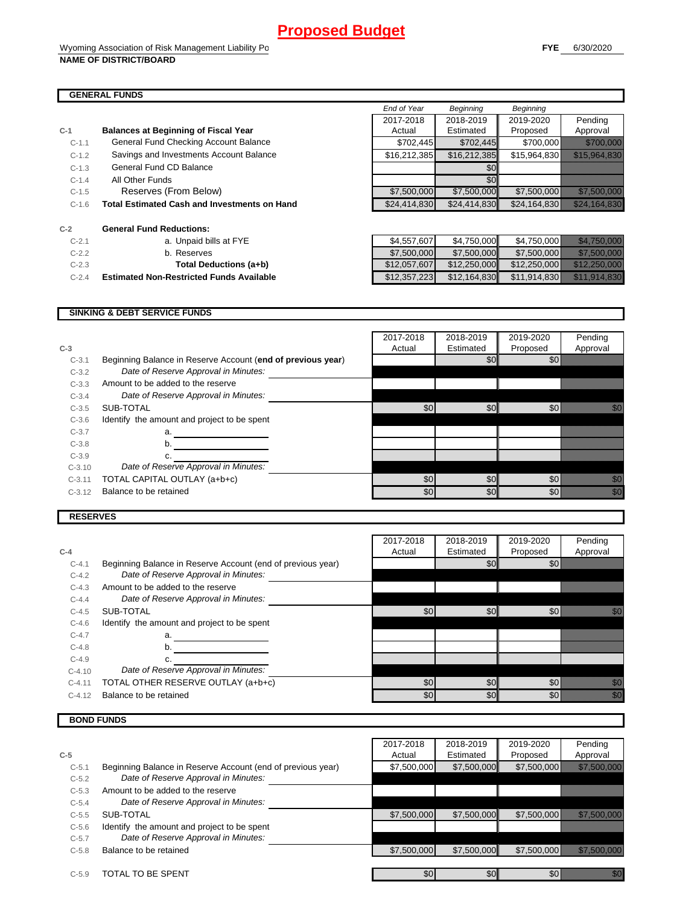ń

#### **GENERAL FUNDS**

| $C-1$   | <b>Balances at Beginning of Fiscal Year</b>         | Actual       | Estimated    |
|---------|-----------------------------------------------------|--------------|--------------|
| $C-1.1$ | General Fund Checking Account Balance               | \$702,445    | \$702,445    |
| $C-1.2$ | Savings and Investments Account Balance             | \$16,212,385 | \$16,212,385 |
| $C-1.3$ | General Fund CD Balance                             |              | \$0          |
| $C-1.4$ | All Other Funds                                     |              | \$0          |
| $C-1.5$ | Reserves (From Below)                               | \$7,500,000  | \$7,500,000  |
| $C-1.6$ | <b>Total Estimated Cash and Investments on Hand</b> | \$24,414,830 | \$24,414,830 |
| $C-2$   | <b>General Fund Reductions:</b>                     |              |              |
| $C-2.1$ | a. Unpaid bills at FYE                              | \$4,557,607  | \$4,750,000  |
| $C-2.2$ | b. Reserves                                         | \$7,500,000  | \$7,500,000  |
| $C-2.3$ | Total Deductions (a∔h)                              | \$12,057,607 | \$12,250,000 |

|         | ,,,,,,,,,,,,,,,,,                                   |              |              |                  |                                  |
|---------|-----------------------------------------------------|--------------|--------------|------------------|----------------------------------|
|         |                                                     | End of Year  | Beginning    | <b>Beginning</b> |                                  |
|         |                                                     | 2017-2018    | 2018-2019    | 2019-2020        | Pending                          |
|         | <b>Balances at Beginning of Fiscal Year</b>         | Actual       | Estimated    | Proposed         | Approval                         |
| $C-1.1$ | General Fund Checking Account Balance               | \$702,445    | \$702,445    | \$700,000        |                                  |
| $C-1.2$ | Savings and Investments Account Balance             | \$16,212,385 | \$16,212,385 | \$15,964,830     | <u> Elizabeth Charles Contae</u> |
| $C-1.3$ | General Fund CD Balance                             |              | \$O          |                  |                                  |
| $C-1.4$ | All Other Funds                                     |              |              |                  |                                  |
| $C-1.5$ | Reserves (From Below)                               | \$7,500,000  | \$7,500,000  | \$7,500,000      | <u>est Mars Charles C</u>        |
| $C-1.6$ | <b>Total Estimated Cash and Investments on Hand</b> | \$24,414,830 | \$24,414,830 | \$24,164,830     | <u> Martin Callin (</u>          |
|         |                                                     |              |              |                  |                                  |

| $C-2.1$ | a. Unpaid bills at FYE                          | \$4.557.607  | \$4.750.000  | \$4.750.000 34.750.000    |
|---------|-------------------------------------------------|--------------|--------------|---------------------------|
| $C-2.2$ | b. Reserves                                     | \$7,500,000  | \$7,500,000  | \$7.500.000 37.500.000    |
| $C-2.3$ | Total Deductions (a+b)                          | \$12,057,607 | \$12,250,000 | \$12,250,000 3.2.2.30.000 |
| $C-2.4$ | <b>Estimated Non-Restricted Funds Available</b> | \$12.357.223 |              |                           |

#### **SINKING & DEBT SERVICE FUNDS**

|          |                                                             | 2017-2018 | 2018-2019 | 2019-2020 | Pending                                                                                                                                                                                                                          |
|----------|-------------------------------------------------------------|-----------|-----------|-----------|----------------------------------------------------------------------------------------------------------------------------------------------------------------------------------------------------------------------------------|
| $C-3$    |                                                             | Actual    | Estimated | Proposed  | Approval                                                                                                                                                                                                                         |
| $C-3.1$  | Beginning Balance in Reserve Account (end of previous year) |           | \$0       | \$0       |                                                                                                                                                                                                                                  |
| $C-3.2$  | Date of Reserve Approval in Minutes:                        |           |           |           |                                                                                                                                                                                                                                  |
| $C-3.3$  | Amount to be added to the reserve                           |           |           |           |                                                                                                                                                                                                                                  |
| $C-3.4$  | Date of Reserve Approval in Minutes:                        |           |           |           |                                                                                                                                                                                                                                  |
| $C-3.5$  | SUB-TOTAL                                                   | \$0       | \$0       | \$0       | W.                                                                                                                                                                                                                               |
| $C-3.6$  | Identify the amount and project to be spent                 |           |           |           |                                                                                                                                                                                                                                  |
| $C-3.7$  | a.                                                          |           |           |           |                                                                                                                                                                                                                                  |
| $C-3.8$  | b.                                                          |           |           |           |                                                                                                                                                                                                                                  |
| $C-3.9$  |                                                             |           |           |           |                                                                                                                                                                                                                                  |
| $C-3.10$ | Date of Reserve Approval in Minutes:                        |           |           |           |                                                                                                                                                                                                                                  |
| $C-3.11$ | TOTAL CAPITAL OUTLAY (a+b+c)                                | \$0       | \$0       | \$0       | en de la familie de la familie de la familie de la familie de la familie de la familie de la familie de la fam<br>Constituit de la familie de la familie de la familie de la familie de la familie de la familie de la familie d |
| $C-3.12$ | Balance to be retained                                      | \$0       | \$0       | \$0       | an dhe                                                                                                                                                                                                                           |

#### **RESERVES**

|          |                                                             | 2017-2018 | 2018-2019 | 2019-2020 | Pending                                                                                                                                                                                                                          |
|----------|-------------------------------------------------------------|-----------|-----------|-----------|----------------------------------------------------------------------------------------------------------------------------------------------------------------------------------------------------------------------------------|
| $C-4$    |                                                             | Actual    | Estimated | Proposed  | Approval                                                                                                                                                                                                                         |
| $C-4.1$  | Beginning Balance in Reserve Account (end of previous year) |           | \$0       | \$0       |                                                                                                                                                                                                                                  |
| $C-4.2$  | Date of Reserve Approval in Minutes:                        |           |           |           |                                                                                                                                                                                                                                  |
| $C-4.3$  | Amount to be added to the reserve                           |           |           |           |                                                                                                                                                                                                                                  |
| $C-4.4$  | Date of Reserve Approval in Minutes:                        |           |           |           |                                                                                                                                                                                                                                  |
| $C-4.5$  | SUB-TOTAL                                                   | \$0       | \$0       | \$0       | 47                                                                                                                                                                                                                               |
| $C-4.6$  | Identify the amount and project to be spent                 |           |           |           |                                                                                                                                                                                                                                  |
| $C-4.7$  | a.                                                          |           |           |           |                                                                                                                                                                                                                                  |
| $C-4.8$  | b.                                                          |           |           |           |                                                                                                                                                                                                                                  |
| $C-4.9$  |                                                             |           |           |           |                                                                                                                                                                                                                                  |
| $C-4.10$ | Date of Reserve Approval in Minutes:                        |           |           |           |                                                                                                                                                                                                                                  |
| $C-4.11$ | TOTAL OTHER RESERVE OUTLAY (a+b+c)                          | \$0       | \$0       | \$0       | <u>M</u>                                                                                                                                                                                                                         |
| $C-4.12$ | Balance to be retained                                      | \$0       | \$0       | \$0       | en de la familie de la familie de la familie de la familie de la familie de la familie de la familie de la fam<br>Constituit de la familie de la familie de la familie de la familie de la familie de la familie de la familie d |

### **BOND FUNDS**

|         |                                                             | 2017-2018   | 2018-2019   | 2019-2020   | Pending                                                                                                              |
|---------|-------------------------------------------------------------|-------------|-------------|-------------|----------------------------------------------------------------------------------------------------------------------|
| $C-5$   |                                                             | Actual      | Estimated   | Proposed    | Approval                                                                                                             |
| $C-5.1$ | Beginning Balance in Reserve Account (end of previous year) | \$7,500,000 | \$7,500,000 | \$7,500,000 | <u> Timografia (1999)</u>                                                                                            |
| $C-5.2$ | Date of Reserve Approval in Minutes:                        |             |             |             |                                                                                                                      |
| $C-5.3$ | Amount to be added to the reserve                           |             |             |             |                                                                                                                      |
| $C-5.4$ | Date of Reserve Approval in Minutes:                        |             |             |             |                                                                                                                      |
| $C-5.5$ | SUB-TOTAL                                                   | \$7,500,000 | \$7,500,000 | \$7,500,000 | <u> Elizabeth Charles Charles Charles Charles Charles Charles Charles Charles Charles Charles Charles Charles Ch</u> |
| $C-5.6$ | Identify the amount and project to be spent                 |             |             |             |                                                                                                                      |
| $C-5.7$ | Date of Reserve Approval in Minutes:                        |             |             |             |                                                                                                                      |
| $C-5.8$ | Balance to be retained                                      | \$7,500,000 | \$7,500,000 | \$7,500,000 |                                                                                                                      |
|         |                                                             |             |             |             |                                                                                                                      |
| $C-5.9$ | TOTAL TO BE SPENT                                           | \$0         | \$0         | \$0         | <u>i Saraja</u>                                                                                                      |